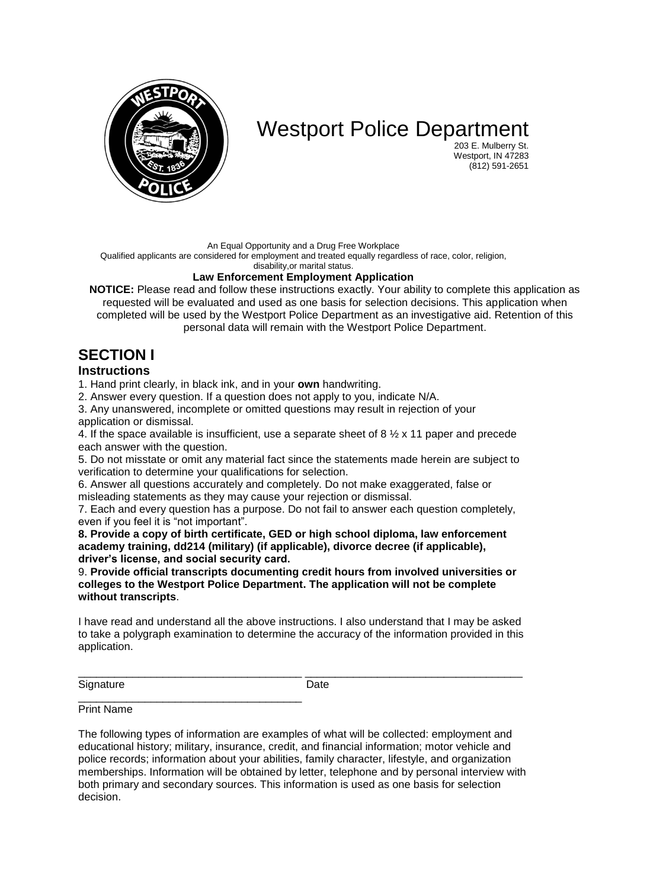

# Westport Police Department

203 E. Mulberry St. Westport, IN 47283 (812) 591-2651

An Equal Opportunity and a Drug Free Workplace

Qualified applicants are considered for employment and treated equally regardless of race, color, religion,

disability,or marital status.

### **Law Enforcement Employment Application**

**NOTICE:** Please read and follow these instructions exactly. Your ability to complete this application as requested will be evaluated and used as one basis for selection decisions. This application when completed will be used by the Westport Police Department as an investigative aid. Retention of this personal data will remain with the Westport Police Department.

# **SECTION I**

### **Instructions**

1. Hand print clearly, in black ink, and in your **own** handwriting.

2. Answer every question. If a question does not apply to you, indicate N/A.

3. Any unanswered, incomplete or omitted questions may result in rejection of your application or dismissal.

4. If the space available is insufficient, use a separate sheet of 8  $\frac{1}{2}$  x 11 paper and precede each answer with the question.

5. Do not misstate or omit any material fact since the statements made herein are subject to verification to determine your qualifications for selection.

6. Answer all questions accurately and completely. Do not make exaggerated, false or misleading statements as they may cause your rejection or dismissal.

7. Each and every question has a purpose. Do not fail to answer each question completely, even if you feel it is "not important".

**8. Provide a copy of birth certificate, GED or high school diploma, law enforcement academy training, dd214 (military) (if applicable), divorce decree (if applicable), driver's license, and social security card.** 

9. **Provide official transcripts documenting credit hours from involved universities or colleges to the Westport Police Department. The application will not be complete without transcripts**.

I have read and understand all the above instructions. I also understand that I may be asked to take a polygraph examination to determine the accuracy of the information provided in this application.

\_\_\_\_\_\_\_\_\_\_\_\_\_\_\_\_\_\_\_\_\_\_\_\_\_\_\_\_\_\_\_\_\_\_\_\_\_ \_\_\_\_\_\_\_\_\_\_\_\_\_\_\_\_\_\_\_\_\_\_\_\_\_\_\_\_\_\_\_\_\_\_\_\_

Signature Date

\_\_\_\_\_\_\_\_\_\_\_\_\_\_\_\_\_\_\_\_\_\_\_\_\_\_\_\_\_\_\_\_\_\_\_\_\_ Print Name

The following types of information are examples of what will be collected: employment and educational history; military, insurance, credit, and financial information; motor vehicle and police records; information about your abilities, family character, lifestyle, and organization memberships. Information will be obtained by letter, telephone and by personal interview with both primary and secondary sources. This information is used as one basis for selection decision.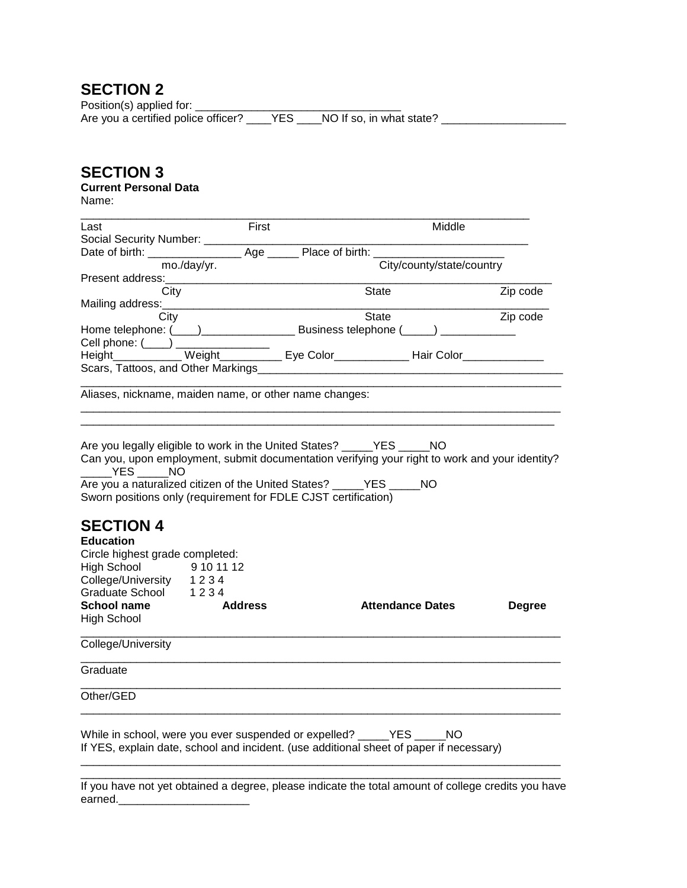Position(s) applied for: \_\_\_\_\_\_\_\_\_\_\_\_\_\_\_\_\_\_\_\_\_\_\_\_\_\_\_\_\_\_\_\_\_ Are you a certified police officer? \_\_\_\_YES \_\_\_\_NO If so, in what state? \_\_\_\_\_\_\_\_\_\_\_\_\_\_\_\_\_\_\_

# **SECTION 3**

### **Current Personal Data**

Name:

| Last                                                                                                                                                                                                                                                                                 | First          | Middle                                                                                         |               |
|--------------------------------------------------------------------------------------------------------------------------------------------------------------------------------------------------------------------------------------------------------------------------------------|----------------|------------------------------------------------------------------------------------------------|---------------|
| Social Security Number: __________                                                                                                                                                                                                                                                   |                |                                                                                                |               |
|                                                                                                                                                                                                                                                                                      |                |                                                                                                |               |
|                                                                                                                                                                                                                                                                                      | mo./day/yr.    | City/county/state/country                                                                      |               |
| Present address:                                                                                                                                                                                                                                                                     |                |                                                                                                |               |
| City                                                                                                                                                                                                                                                                                 |                | State                                                                                          | Zip code      |
| Mailing address:                                                                                                                                                                                                                                                                     |                | State                                                                                          |               |
| City                                                                                                                                                                                                                                                                                 |                |                                                                                                | Zip code      |
| Cell phone: $(\_\_\_)$                                                                                                                                                                                                                                                               |                |                                                                                                |               |
|                                                                                                                                                                                                                                                                                      |                | Height Weight Eye Color Hair Color                                                             |               |
| Scars, Tattoos, and Other Markings                                                                                                                                                                                                                                                   |                |                                                                                                |               |
|                                                                                                                                                                                                                                                                                      |                |                                                                                                |               |
| Aliases, nickname, maiden name, or other name changes:                                                                                                                                                                                                                               |                |                                                                                                |               |
|                                                                                                                                                                                                                                                                                      |                |                                                                                                |               |
| Are you legally eligible to work in the United States? _____YES _____NO<br>______YES ______NO<br>Are you a naturalized citizen of the United States? _______ YES ______ NO<br>Sworn positions only (requirement for FDLE CJST certification)<br><b>SECTION 4</b><br><b>Education</b> |                | Can you, upon employment, submit documentation verifying your right to work and your identity? |               |
| Circle highest grade completed:                                                                                                                                                                                                                                                      |                |                                                                                                |               |
| High School 9 10 11 12<br>College/University 1 2 3 4                                                                                                                                                                                                                                 |                |                                                                                                |               |
|                                                                                                                                                                                                                                                                                      |                |                                                                                                |               |
| Graduate School 1234                                                                                                                                                                                                                                                                 |                |                                                                                                |               |
| School name<br><b>High School</b>                                                                                                                                                                                                                                                    | <b>Address</b> | <b>Attendance Dates</b>                                                                        | <b>Degree</b> |
| College/University                                                                                                                                                                                                                                                                   |                |                                                                                                |               |
| Graduate                                                                                                                                                                                                                                                                             |                |                                                                                                |               |
| Other/GED                                                                                                                                                                                                                                                                            |                |                                                                                                |               |
| While in school, were you ever suspended or expelled? _____YES _____NO                                                                                                                                                                                                               |                | If YES, explain date, school and incident. (use additional sheet of paper if necessary)        |               |

\_\_\_\_\_\_\_\_\_\_\_\_\_\_\_\_\_\_\_\_\_\_\_\_\_\_\_\_\_\_\_\_\_\_\_\_\_\_\_\_\_\_\_\_\_\_\_\_\_\_\_\_\_\_\_\_\_\_\_\_\_\_\_\_\_\_\_\_\_\_\_\_\_\_\_\_\_ If you have not yet obtained a degree, please indicate the total amount of college credits you have earned.\_\_\_\_\_\_\_\_\_\_\_\_\_\_\_\_\_\_\_\_\_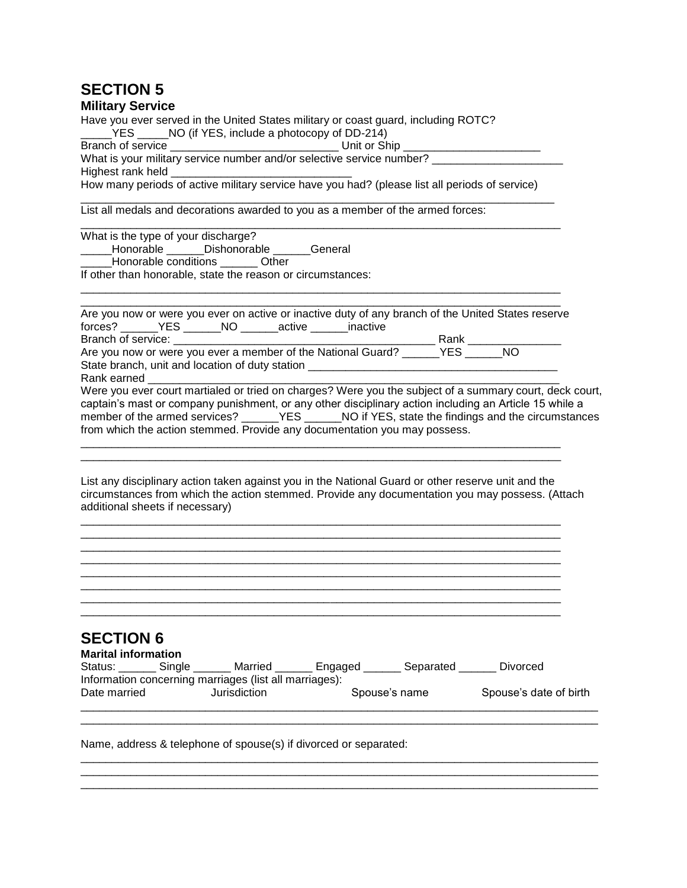| <b>Military Service</b> |  |
|-------------------------|--|
|-------------------------|--|

Have you ever served in the United States military or coast guard, including ROTC?  $YES$  \_\_\_\_\_NO (if YES, include a photocopy of DD-214)

Branch of service \_\_\_\_\_\_\_\_\_\_\_\_\_\_\_\_\_\_\_\_\_\_\_\_\_\_\_\_\_\_\_\_\_ Unit or Ship \_\_\_\_\_\_\_\_\_\_\_\_\_\_\_\_ What is your military service number and/or selective service number? \_\_\_\_\_\_\_\_\_\_\_\_\_\_\_\_\_\_\_\_\_ Highest rank held \_\_\_\_\_\_\_\_\_\_

\_\_\_\_\_\_\_\_\_\_\_\_\_\_\_\_\_\_\_\_\_\_\_\_\_\_\_\_\_\_\_\_\_\_\_\_\_\_\_\_\_\_\_\_\_\_\_\_\_\_\_\_\_\_\_\_\_\_\_\_\_\_\_\_\_\_\_\_\_\_\_\_\_\_\_\_\_

How many periods of active military service have you had? (please list all periods of service) \_\_\_\_\_\_\_\_\_\_\_\_\_\_\_\_\_\_\_\_\_\_\_\_\_\_\_\_\_\_\_\_\_\_\_\_\_\_\_\_\_\_\_\_\_\_\_\_\_\_\_\_\_\_\_\_\_\_\_\_\_\_\_\_\_\_\_\_\_\_\_\_\_\_\_\_

List all medals and decorations awarded to you as a member of the armed forces:

\_\_\_\_\_\_\_\_\_\_\_\_\_\_\_\_\_\_\_\_\_\_\_\_\_\_\_\_\_\_\_\_\_\_\_\_\_\_\_\_\_\_\_\_\_\_\_\_\_\_\_\_\_\_\_\_\_\_\_\_\_\_\_\_\_\_\_\_\_\_\_\_\_\_\_\_\_ What is the type of your discharge?

\_\_\_\_\_Honorable \_\_\_\_\_\_Dishonorable \_\_\_\_\_\_General

\_\_\_\_\_Honorable conditions \_\_\_\_\_\_ Other

If other than honorable, state the reason or circumstances:

|                                                                 |  | Are you now or were you ever on active or inactive duty of any branch of the United States reserve      |             |  |
|-----------------------------------------------------------------|--|---------------------------------------------------------------------------------------------------------|-------------|--|
| forces? ________ YES _______ NO _______ active _______ inactive |  |                                                                                                         |             |  |
|                                                                 |  |                                                                                                         | Rank i stræ |  |
|                                                                 |  | Are you now or were you ever a member of the National Guard? ______YES ______NO                         |             |  |
| State branch, unit and location of duty station                 |  |                                                                                                         |             |  |
| Rank earned Theory                                              |  |                                                                                                         |             |  |
|                                                                 |  | Were you ever court martialed or tried on charges? Were you the subject of a summary court, deck court, |             |  |
|                                                                 |  | captain's mast or company punishment, or any other disciplinary action including an Article 15 while a  |             |  |
|                                                                 |  |                                                                                                         |             |  |
|                                                                 |  | from which the action stemmed. Provide any documentation you may possess.                               |             |  |

List any disciplinary action taken against you in the National Guard or other reserve unit and the circumstances from which the action stemmed. Provide any documentation you may possess. (Attach additional sheets if necessary)

\_\_\_\_\_\_\_\_\_\_\_\_\_\_\_\_\_\_\_\_\_\_\_\_\_\_\_\_\_\_\_\_\_\_\_\_\_\_\_\_\_\_\_\_\_\_\_\_\_\_\_\_\_\_\_\_\_\_\_\_\_\_\_\_\_\_\_\_\_\_\_\_\_\_\_\_\_

\_\_\_\_\_\_\_\_\_\_\_\_\_\_\_\_\_\_\_\_\_\_\_\_\_\_\_\_\_\_\_\_\_\_\_\_\_\_\_\_\_\_\_\_\_\_\_\_\_\_\_\_\_\_\_\_\_\_\_\_\_\_\_\_\_\_\_\_\_\_\_\_\_\_\_\_\_

\_\_\_\_\_\_\_\_\_\_\_\_\_\_\_\_\_\_\_\_\_\_\_\_\_\_\_\_\_\_\_\_\_\_\_\_\_\_\_\_\_\_\_\_\_\_\_\_\_\_\_\_\_\_\_\_\_\_\_\_\_\_\_\_\_\_\_\_\_\_\_\_\_\_\_\_\_ \_\_\_\_\_\_\_\_\_\_\_\_\_\_\_\_\_\_\_\_\_\_\_\_\_\_\_\_\_\_\_\_\_\_\_\_\_\_\_\_\_\_\_\_\_\_\_\_\_\_\_\_\_\_\_\_\_\_\_\_\_\_\_\_\_\_\_\_\_\_\_\_\_\_\_\_\_

\_\_\_\_\_\_\_\_\_\_\_\_\_\_\_\_\_\_\_\_\_\_\_\_\_\_\_\_\_\_\_\_\_\_\_\_\_\_\_\_\_\_\_\_\_\_\_\_\_\_\_\_\_\_\_\_\_\_\_\_\_\_\_\_\_\_\_\_\_\_\_\_\_\_\_\_\_ \_\_\_\_\_\_\_\_\_\_\_\_\_\_\_\_\_\_\_\_\_\_\_\_\_\_\_\_\_\_\_\_\_\_\_\_\_\_\_\_\_\_\_\_\_\_\_\_\_\_\_\_\_\_\_\_\_\_\_\_\_\_\_\_\_\_\_\_\_\_\_\_\_\_\_\_\_

\_\_\_\_\_\_\_\_\_\_\_\_\_\_\_\_\_\_\_\_\_\_\_\_\_\_\_\_\_\_\_\_\_\_\_\_\_\_\_\_\_\_\_\_\_\_\_\_\_\_\_\_\_\_\_\_\_\_\_\_\_\_\_\_\_\_\_\_\_\_\_\_\_\_\_\_\_

\_\_\_\_\_\_\_\_\_\_\_\_\_\_\_\_\_\_\_\_\_\_\_\_\_\_\_\_\_\_\_\_\_\_\_\_\_\_\_\_\_\_\_\_\_\_\_\_\_\_\_\_\_\_\_\_\_\_\_\_\_\_\_\_\_\_\_\_\_\_\_\_\_\_\_\_\_ \_\_\_\_\_\_\_\_\_\_\_\_\_\_\_\_\_\_\_\_\_\_\_\_\_\_\_\_\_\_\_\_\_\_\_\_\_\_\_\_\_\_\_\_\_\_\_\_\_\_\_\_\_\_\_\_\_\_\_\_\_\_\_\_\_\_\_\_\_\_\_\_\_\_\_\_\_ \_\_\_\_\_\_\_\_\_\_\_\_\_\_\_\_\_\_\_\_\_\_\_\_\_\_\_\_\_\_\_\_\_\_\_\_\_\_\_\_\_\_\_\_\_\_\_\_\_\_\_\_\_\_\_\_\_\_\_\_\_\_\_\_\_\_\_\_\_\_\_\_\_\_\_\_\_

# **SECTION 6**

| <b>Marital information</b> |        |                                                        |         |               |                        |  |  |  |  |  |
|----------------------------|--------|--------------------------------------------------------|---------|---------------|------------------------|--|--|--|--|--|
| Status:                    | Single | Married                                                | Engaged | Separated     | Divorced               |  |  |  |  |  |
|                            |        | Information concerning marriages (list all marriages): |         |               |                        |  |  |  |  |  |
| Date married               |        | Jurisdiction                                           |         | Spouse's name | Spouse's date of birth |  |  |  |  |  |
|                            |        |                                                        |         |               |                        |  |  |  |  |  |

\_\_\_\_\_\_\_\_\_\_\_\_\_\_\_\_\_\_\_\_\_\_\_\_\_\_\_\_\_\_\_\_\_\_\_\_\_\_\_\_\_\_\_\_\_\_\_\_\_\_\_\_\_\_\_\_\_\_\_\_\_\_\_\_\_\_\_\_\_\_\_\_\_\_\_\_\_\_\_\_\_\_\_

\_\_\_\_\_\_\_\_\_\_\_\_\_\_\_\_\_\_\_\_\_\_\_\_\_\_\_\_\_\_\_\_\_\_\_\_\_\_\_\_\_\_\_\_\_\_\_\_\_\_\_\_\_\_\_\_\_\_\_\_\_\_\_\_\_\_\_\_\_\_\_\_\_\_\_\_\_\_\_\_\_\_\_ \_\_\_\_\_\_\_\_\_\_\_\_\_\_\_\_\_\_\_\_\_\_\_\_\_\_\_\_\_\_\_\_\_\_\_\_\_\_\_\_\_\_\_\_\_\_\_\_\_\_\_\_\_\_\_\_\_\_\_\_\_\_\_\_\_\_\_\_\_\_\_\_\_\_\_\_\_\_\_\_\_\_\_ \_\_\_\_\_\_\_\_\_\_\_\_\_\_\_\_\_\_\_\_\_\_\_\_\_\_\_\_\_\_\_\_\_\_\_\_\_\_\_\_\_\_\_\_\_\_\_\_\_\_\_\_\_\_\_\_\_\_\_\_\_\_\_\_\_\_\_\_\_\_\_\_\_\_\_\_\_\_\_\_\_\_\_

Name, address & telephone of spouse(s) if divorced or separated: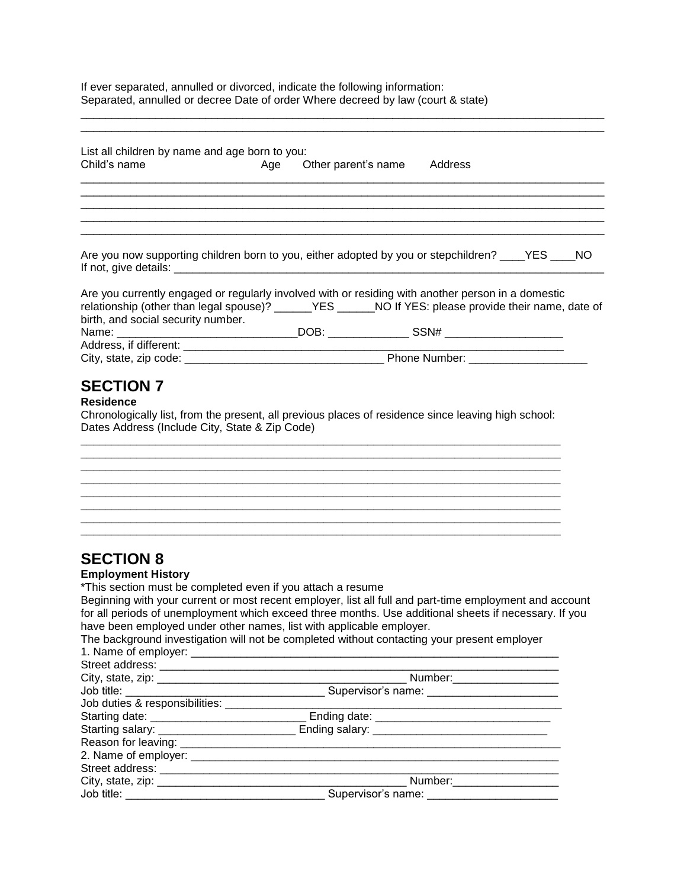If ever separated, annulled or divorced, indicate the following information: Separated, annulled or decree Date of order Where decreed by law (court & state)

| List all children by name and age born to you:<br>Child's name                                                                                                                                                                                    | Age Other parent's name Address |  |
|---------------------------------------------------------------------------------------------------------------------------------------------------------------------------------------------------------------------------------------------------|---------------------------------|--|
|                                                                                                                                                                                                                                                   |                                 |  |
| Are you now supporting children born to you, either adopted by you or stepchildren? ____YES ____NO                                                                                                                                                |                                 |  |
| Are you currently engaged or regularly involved with or residing with another person in a domestic<br>relationship (other than legal spouse)? ______YES ______NO If YES: please provide their name, date of<br>birth, and social security number. |                                 |  |
|                                                                                                                                                                                                                                                   |                                 |  |
|                                                                                                                                                                                                                                                   |                                 |  |
| <b>SECTION 7</b><br><b>Residence</b><br>Chronologically list, from the present, all previous places of residence since leaving high school:<br>Dates Address (Include City, State & Zip Code)                                                     |                                 |  |
|                                                                                                                                                                                                                                                   |                                 |  |
|                                                                                                                                                                                                                                                   |                                 |  |
| <b>SECTION 8</b><br><b>Employment History</b><br>*This section must be completed even if you attach a resume<br>Beginning with your current or most recent employer, list all full and part-time employment and account                           |                                 |  |

\_\_\_\_\_\_\_\_\_\_\_\_\_\_\_\_\_\_\_\_\_\_\_\_\_\_\_\_\_\_\_\_\_\_\_\_\_\_\_\_\_\_\_\_\_\_\_\_\_\_\_\_\_\_\_\_\_\_\_\_\_\_\_\_\_\_\_\_\_\_\_\_\_\_\_\_\_\_\_\_\_\_\_\_

Beginning with your current or most recent employer, list all full and part-time employment and account for all periods of unemployment which exceed three months. Use additional sheets if necessary. If you have been employed under other names, list with applicable employer.

| The background investigation will not be completed without contacting your present employer |  |
|---------------------------------------------------------------------------------------------|--|
| 1. Name of employer:                                                                        |  |

|                                            | Number:________________        |
|--------------------------------------------|--------------------------------|
|                                            |                                |
| Job duties & responsibilities: ___________ |                                |
|                                            |                                |
|                                            |                                |
|                                            |                                |
|                                            |                                |
|                                            |                                |
|                                            | Number:____________________    |
| Job title: ____________________            | Supervisor's name: ___________ |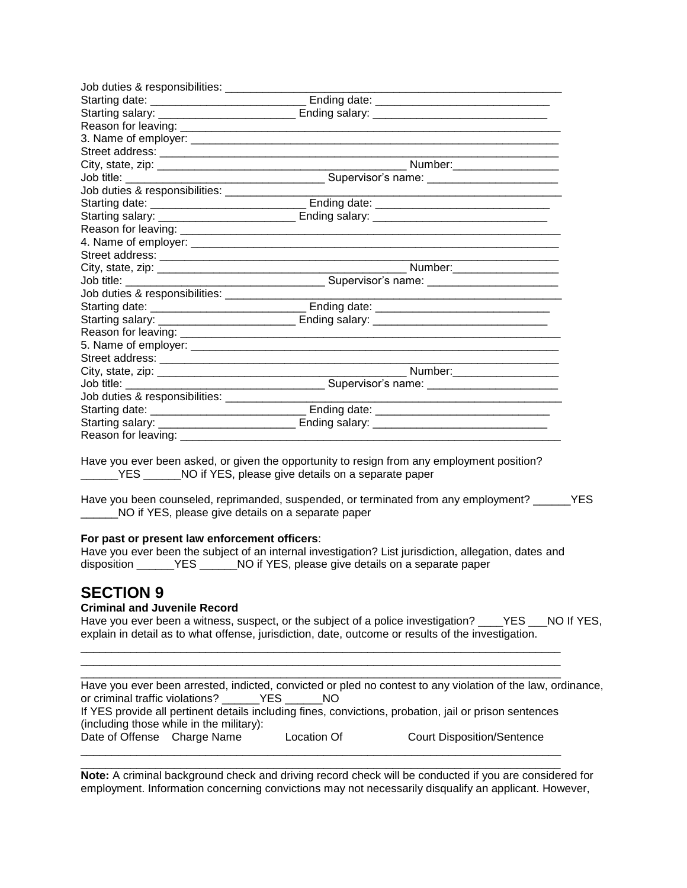| Job duties & responsibilities: _____________      |                                                                                                     |  |
|---------------------------------------------------|-----------------------------------------------------------------------------------------------------|--|
|                                                   |                                                                                                     |  |
| Starting salary: ____________________________     |                                                                                                     |  |
|                                                   |                                                                                                     |  |
|                                                   |                                                                                                     |  |
|                                                   |                                                                                                     |  |
|                                                   |                                                                                                     |  |
|                                                   |                                                                                                     |  |
| Job duties & responsibilities: ________________   |                                                                                                     |  |
|                                                   |                                                                                                     |  |
|                                                   |                                                                                                     |  |
|                                                   |                                                                                                     |  |
|                                                   |                                                                                                     |  |
|                                                   |                                                                                                     |  |
|                                                   |                                                                                                     |  |
|                                                   |                                                                                                     |  |
| Job duties & responsibilities: _______________    |                                                                                                     |  |
|                                                   |                                                                                                     |  |
|                                                   |                                                                                                     |  |
|                                                   |                                                                                                     |  |
|                                                   |                                                                                                     |  |
|                                                   |                                                                                                     |  |
|                                                   |                                                                                                     |  |
|                                                   |                                                                                                     |  |
| Job duties & responsibilities: __________________ |                                                                                                     |  |
|                                                   |                                                                                                     |  |
|                                                   | Starting date: ___________________________________ Ending date: ___________________________________ |  |
| Reason for leaving: _                             |                                                                                                     |  |

Have you ever been asked, or given the opportunity to resign from any employment position? \_\_\_\_\_\_YES \_\_\_\_\_\_NO if YES, please give details on a separate paper

Have you been counseled, reprimanded, suspended, or terminated from any employment? YES NO if YES, please give details on a separate paper

#### **For past or present law enforcement officers**:

Have you ever been the subject of an internal investigation? List jurisdiction, allegation, dates and disposition TES NO if YES, please give details on a separate paper

\_\_\_\_\_\_\_\_\_\_\_\_\_\_\_\_\_\_\_\_\_\_\_\_\_\_\_\_\_\_\_\_\_\_\_\_\_\_\_\_\_\_\_\_\_\_\_\_\_\_\_\_\_\_\_\_\_\_\_\_\_\_\_\_\_\_\_\_\_\_\_\_\_\_\_\_\_ \_\_\_\_\_\_\_\_\_\_\_\_\_\_\_\_\_\_\_\_\_\_\_\_\_\_\_\_\_\_\_\_\_\_\_\_\_\_\_\_\_\_\_\_\_\_\_\_\_\_\_\_\_\_\_\_\_\_\_\_\_\_\_\_\_\_\_\_\_\_\_\_\_\_\_\_\_

### **SECTION 9**

### **Criminal and Juvenile Record**

Have you ever been a witness, suspect, or the subject of a police investigation? YES NO If YES, explain in detail as to what offense, jurisdiction, date, outcome or results of the investigation.

|                             |                                          |             | Have you ever been arrested, indicted, convicted or pled no contest to any violation of the law, ordinance, |  |
|-----------------------------|------------------------------------------|-------------|-------------------------------------------------------------------------------------------------------------|--|
|                             | or criminal traffic violations? YES      | NO.         |                                                                                                             |  |
|                             | (including those while in the military): |             | If YES provide all pertinent details including fines, convictions, probation, jail or prison sentences      |  |
| Date of Offense Charge Name |                                          | Location Of | <b>Court Disposition/Sentence</b>                                                                           |  |

**Note:** A criminal background check and driving record check will be conducted if you are considered for employment. Information concerning convictions may not necessarily disqualify an applicant. However,

\_\_\_\_\_\_\_\_\_\_\_\_\_\_\_\_\_\_\_\_\_\_\_\_\_\_\_\_\_\_\_\_\_\_\_\_\_\_\_\_\_\_\_\_\_\_\_\_\_\_\_\_\_\_\_\_\_\_\_\_\_\_\_\_\_\_\_\_\_\_\_\_\_\_\_\_\_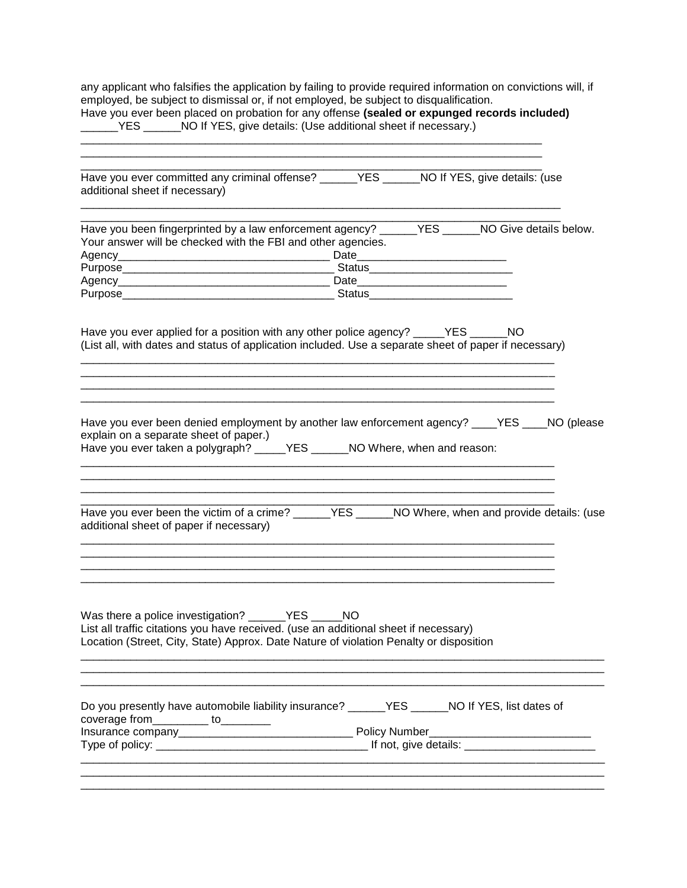any applicant who falsifies the application by failing to provide required information on convictions will, if employed, be subject to dismissal or, if not employed, be subject to disqualification. Have you ever been placed on probation for any offense **(sealed or expunged records included)** 

| Have you ever been placed on probation for any offense (sealed or expunged records included)<br>NO If YES, give details: (Use additional sheet if necessary.)<br>YES |     |                               |  |  |  |  |  |
|----------------------------------------------------------------------------------------------------------------------------------------------------------------------|-----|-------------------------------|--|--|--|--|--|
|                                                                                                                                                                      |     |                               |  |  |  |  |  |
| Have you ever committed any criminal offense?<br>additional sheet if necessary)                                                                                      | YES | NO If YES, give details: (use |  |  |  |  |  |

| Have you been fingerprinted by a law enforcement agency? _______ YES |               | NO Give details below. |
|----------------------------------------------------------------------|---------------|------------------------|
| Your answer will be checked with the FBI and other agencies.         |               |                        |
| Agency_____________________________                                  | Date          |                        |
| Purpose                                                              | Status        |                        |
| Agency                                                               | Date          |                        |
| Purpose                                                              | <b>Status</b> |                        |

\_\_\_\_\_\_\_\_\_\_\_\_\_\_\_\_\_\_\_\_\_\_\_\_\_\_\_\_\_\_\_\_\_\_\_\_\_\_\_\_\_\_\_\_\_\_\_\_\_\_\_\_\_\_\_\_\_\_\_\_\_\_\_\_\_\_\_\_\_\_\_\_\_\_\_\_\_

Have you ever applied for a position with any other police agency? \_\_\_\_\_YES \_\_\_\_\_\_NO (List all, with dates and status of application included. Use a separate sheet of paper if necessary)

\_\_\_\_\_\_\_\_\_\_\_\_\_\_\_\_\_\_\_\_\_\_\_\_\_\_\_\_\_\_\_\_\_\_\_\_\_\_\_\_\_\_\_\_\_\_\_\_\_\_\_\_\_\_\_\_\_\_\_\_\_\_\_\_\_\_\_\_\_\_\_\_\_\_\_\_

\_\_\_\_\_\_\_\_\_\_\_\_\_\_\_\_\_\_\_\_\_\_\_\_\_\_\_\_\_\_\_\_\_\_\_\_\_\_\_\_\_\_\_\_\_\_\_\_\_\_\_\_\_\_\_\_\_\_\_\_\_\_\_\_\_\_\_\_\_\_\_\_\_\_\_\_ \_\_\_\_\_\_\_\_\_\_\_\_\_\_\_\_\_\_\_\_\_\_\_\_\_\_\_\_\_\_\_\_\_\_\_\_\_\_\_\_\_\_\_\_\_\_\_\_\_\_\_\_\_\_\_\_\_\_\_\_\_\_\_\_\_\_\_\_\_\_\_\_\_\_\_\_

| Have you ever been denied employment by another law enforcement agency? ____YES ____NO (please |  |  |  |  |  |
|------------------------------------------------------------------------------------------------|--|--|--|--|--|
| explain on a separate sheet of paper.)                                                         |  |  |  |  |  |
| $\blacksquare$                                                                                 |  |  |  |  |  |

\_\_\_\_\_\_\_\_\_\_\_\_\_\_\_\_\_\_\_\_\_\_\_\_\_\_\_\_\_\_\_\_\_\_\_\_\_\_\_\_\_\_\_\_\_\_\_\_\_\_\_\_\_\_\_\_\_\_\_\_\_\_\_\_\_\_\_\_\_\_\_\_\_\_\_\_ \_\_\_\_\_\_\_\_\_\_\_\_\_\_\_\_\_\_\_\_\_\_\_\_\_\_\_\_\_\_\_\_\_\_\_\_\_\_\_\_\_\_\_\_\_\_\_\_\_\_\_\_\_\_\_\_\_\_\_\_\_\_\_\_\_\_\_\_\_\_\_\_\_\_\_\_

| Have you ever taken a polygraph? | YES. | NO Where, when and reason: |
|----------------------------------|------|----------------------------|
|                                  |      |                            |

| Have you ever been the victim of a crime? | <b>YES</b> | NO Where, when and provide details: (use |
|-------------------------------------------|------------|------------------------------------------|
| additional sheet of paper if necessary)   |            |                                          |

\_\_\_\_\_\_\_\_\_\_\_\_\_\_\_\_\_\_\_\_\_\_\_\_\_\_\_\_\_\_\_\_\_\_\_\_\_\_\_\_\_\_\_\_\_\_\_\_\_\_\_\_\_\_\_\_\_\_\_\_\_\_\_\_\_\_\_\_\_\_\_\_\_\_\_\_

\_\_\_\_\_\_\_\_\_\_\_\_\_\_\_\_\_\_\_\_\_\_\_\_\_\_\_\_\_\_\_\_\_\_\_\_\_\_\_\_\_\_\_\_\_\_\_\_\_\_\_\_\_\_\_\_\_\_\_\_\_\_\_\_\_\_\_\_\_\_\_\_\_\_\_\_ \_\_\_\_\_\_\_\_\_\_\_\_\_\_\_\_\_\_\_\_\_\_\_\_\_\_\_\_\_\_\_\_\_\_\_\_\_\_\_\_\_\_\_\_\_\_\_\_\_\_\_\_\_\_\_\_\_\_\_\_\_\_\_\_\_\_\_\_\_\_\_\_\_\_\_\_

| Was there a police investigation?                                                      | YES.<br>NO. |  |
|----------------------------------------------------------------------------------------|-------------|--|
| List all traffic citations you have received. (use an additional sheet if necessary)   |             |  |
| Location (Street, City, State) Approx. Date Nature of violation Penalty or disposition |             |  |
|                                                                                        |             |  |

| Do you presently have automobile liability insurance?<br>coverage from<br>το | NO If YES, list dates of<br>YES |
|------------------------------------------------------------------------------|---------------------------------|
| Insurance company                                                            | <b>Policy Number</b>            |
| Type of policy: __________                                                   | If not, give details:           |
|                                                                              |                                 |

\_\_\_\_\_\_\_\_\_\_\_\_\_\_\_\_\_\_\_\_\_\_\_\_\_\_\_\_\_\_\_\_\_\_\_\_\_\_\_\_\_\_\_\_\_\_\_\_\_\_\_\_\_\_\_\_\_\_\_\_\_\_\_\_\_\_\_\_\_\_\_\_\_\_\_\_\_\_\_\_\_\_\_\_ \_\_\_\_\_\_\_\_\_\_\_\_\_\_\_\_\_\_\_\_\_\_\_\_\_\_\_\_\_\_\_\_\_\_\_\_\_\_\_\_\_\_\_\_\_\_\_\_\_\_\_\_\_\_\_\_\_\_\_\_\_\_\_\_\_\_\_\_\_\_\_\_\_\_\_\_\_\_\_\_\_\_\_\_

\_\_\_\_\_\_\_\_\_\_\_\_\_\_\_\_\_\_\_\_\_\_\_\_\_\_\_\_\_\_\_\_\_\_\_\_\_\_\_\_\_\_\_\_\_\_\_\_\_\_\_\_\_\_\_\_\_\_\_\_\_\_\_\_\_\_\_\_\_\_\_\_\_\_\_\_\_\_\_\_\_\_\_\_ \_\_\_\_\_\_\_\_\_\_\_\_\_\_\_\_\_\_\_\_\_\_\_\_\_\_\_\_\_\_\_\_\_\_\_\_\_\_\_\_\_\_\_\_\_\_\_\_\_\_\_\_\_\_\_\_\_\_\_\_\_\_\_\_\_\_\_\_\_\_\_\_\_\_\_\_\_\_\_\_\_\_\_\_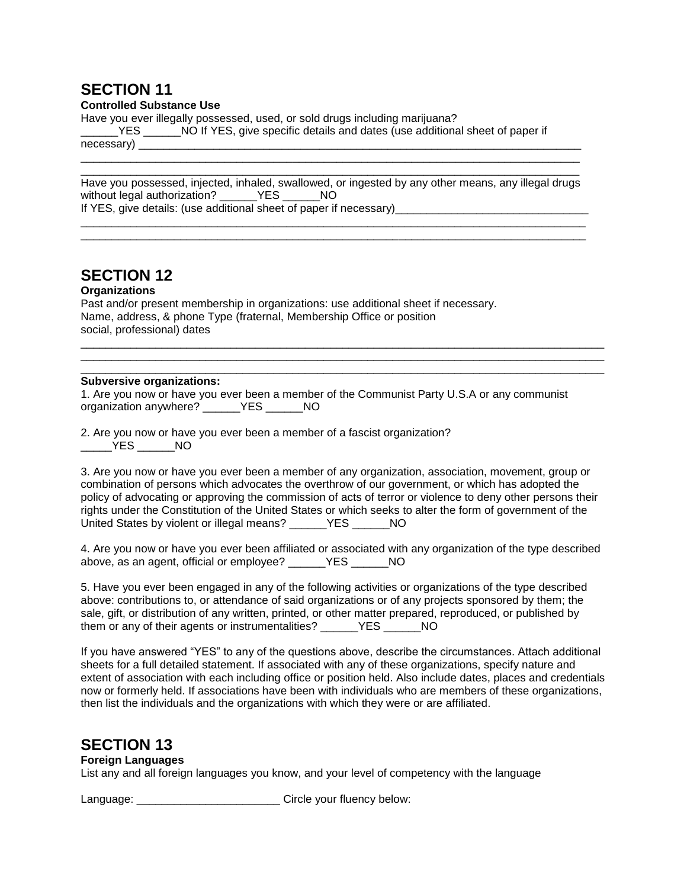### **Controlled Substance Use**

Have you ever illegally possessed, used, or sold drugs including marijuana?

\_\_\_\_\_\_YES \_\_\_\_\_\_NO If YES, give specific details and dates (use additional sheet of paper if necessary) examples and the set of  $\sim$ 

Have you possessed, injected, inhaled, swallowed, or ingested by any other means, any illegal drugs without legal authorization? \_\_\_\_\_\_YES \_\_\_\_\_\_NO If YES, give details: (use additional sheet of paper if necessary)\_\_\_\_\_\_\_\_\_\_\_\_\_\_\_\_\_\_\_\_\_

\_\_\_\_\_\_\_\_\_\_\_\_\_\_\_\_\_\_\_\_\_\_\_\_\_\_\_\_\_\_\_\_\_\_\_\_\_\_\_\_\_\_\_\_\_\_\_\_\_\_\_\_\_\_\_\_\_\_\_\_\_\_\_\_\_\_\_\_\_\_\_\_\_\_\_\_\_\_\_\_\_ \_\_\_\_\_\_\_\_\_\_\_\_\_\_\_\_\_\_\_\_\_\_\_\_\_\_\_\_\_\_\_\_\_\_\_\_\_\_\_\_\_\_\_\_\_\_\_\_\_\_\_\_\_\_\_\_\_\_\_\_\_\_\_\_\_\_\_\_\_\_\_\_\_\_\_\_\_\_\_\_\_

\_\_\_\_\_\_\_\_\_\_\_\_\_\_\_\_\_\_\_\_\_\_\_\_\_\_\_\_\_\_\_\_\_\_\_\_\_\_\_\_\_\_\_\_\_\_\_\_\_\_\_\_\_\_\_\_\_\_\_\_\_\_\_\_\_\_\_\_\_\_\_\_\_\_\_\_\_\_\_\_ \_\_\_\_\_\_\_\_\_\_\_\_\_\_\_\_\_\_\_\_\_\_\_\_\_\_\_\_\_\_\_\_\_\_\_\_\_\_\_\_\_\_\_\_\_\_\_\_\_\_\_\_\_\_\_\_\_\_\_\_\_\_\_\_\_\_\_\_\_\_\_\_\_\_\_\_\_\_\_\_

# **SECTION 12**

### **Organizations**

Past and/or present membership in organizations: use additional sheet if necessary. Name, address, & phone Type (fraternal, Membership Office or position social, professional) dates \_\_\_\_\_\_\_\_\_\_\_\_\_\_\_\_\_\_\_\_\_\_\_\_\_\_\_\_\_\_\_\_\_\_\_\_\_\_\_\_\_\_\_\_\_\_\_\_\_\_\_\_\_\_\_\_\_\_\_\_\_\_\_\_\_\_\_\_\_\_\_\_\_\_\_\_\_\_\_\_\_\_\_\_

#### \_\_\_\_\_\_\_\_\_\_\_\_\_\_\_\_\_\_\_\_\_\_\_\_\_\_\_\_\_\_\_\_\_\_\_\_\_\_\_\_\_\_\_\_\_\_\_\_\_\_\_\_\_\_\_\_\_\_\_\_\_\_\_\_\_\_\_\_\_\_\_\_\_\_\_\_\_\_\_\_\_\_\_\_ **Subversive organizations:**

1. Are you now or have you ever been a member of the Communist Party U.S.A or any communist organization anywhere? \_\_\_\_\_\_YES \_\_\_\_\_\_NO

\_\_\_\_\_\_\_\_\_\_\_\_\_\_\_\_\_\_\_\_\_\_\_\_\_\_\_\_\_\_\_\_\_\_\_\_\_\_\_\_\_\_\_\_\_\_\_\_\_\_\_\_\_\_\_\_\_\_\_\_\_\_\_\_\_\_\_\_\_\_\_\_\_\_\_\_\_\_\_\_\_\_\_\_

2. Are you now or have you ever been a member of a fascist organization? \_\_\_\_\_YES \_\_\_\_\_\_NO

3. Are you now or have you ever been a member of any organization, association, movement, group or combination of persons which advocates the overthrow of our government, or which has adopted the policy of advocating or approving the commission of acts of terror or violence to deny other persons their rights under the Constitution of the United States or which seeks to alter the form of government of the United States by violent or illegal means? \_\_\_\_\_\_YES \_\_\_\_\_\_NO

4. Are you now or have you ever been affiliated or associated with any organization of the type described above, as an agent, official or employee? \_\_\_\_\_\_YES \_\_\_\_\_\_NO

5. Have you ever been engaged in any of the following activities or organizations of the type described above: contributions to, or attendance of said organizations or of any projects sponsored by them; the sale, gift, or distribution of any written, printed, or other matter prepared, reproduced, or published by them or any of their agents or instrumentalities? \_\_\_\_\_\_YES \_\_\_\_\_\_NO

If you have answered "YES" to any of the questions above, describe the circumstances. Attach additional sheets for a full detailed statement. If associated with any of these organizations, specify nature and extent of association with each including office or position held. Also include dates, places and credentials now or formerly held. If associations have been with individuals who are members of these organizations, then list the individuals and the organizations with which they were or are affiliated.

# **SECTION 13**

### **Foreign Languages**

List any and all foreign languages you know, and your level of competency with the language

Language: \_\_\_\_\_\_\_\_\_\_\_\_\_\_\_\_\_\_\_\_\_\_\_\_\_\_\_\_\_\_\_\_ Circle your fluency below: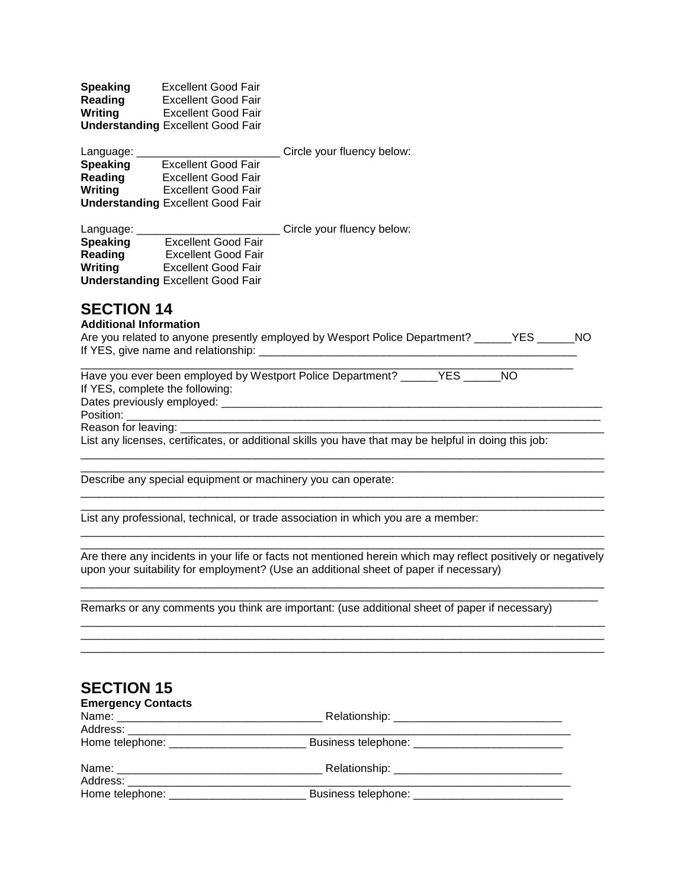| <b>Speaking</b> | <b>Excellent Good Fair</b>               |
|-----------------|------------------------------------------|
| <b>Reading</b>  | <b>Excellent Good Fair</b>               |
| Writing         | <b>Excellent Good Fair</b>               |
|                 | <b>Understanding Excellent Good Fair</b> |

| Language:       |                                          | Circle your fluency below: |
|-----------------|------------------------------------------|----------------------------|
| <b>Speaking</b> | <b>Excellent Good Fair</b>               |                            |
| Reading         | <b>Excellent Good Fair</b>               |                            |
| Writing         | <b>Excellent Good Fair</b>               |                            |
|                 | <b>Understanding Excellent Good Fair</b> |                            |
|                 |                                          |                            |

| Language:       |                                          | Circle your fluency below: |
|-----------------|------------------------------------------|----------------------------|
| <b>Speaking</b> | <b>Excellent Good Fair</b>               |                            |
| Reading         | <b>Excellent Good Fair</b>               |                            |
| Writing         | <b>Excellent Good Fair</b>               |                            |
|                 | <b>Understanding Excellent Good Fair</b> |                            |

### **Additional Information**

| Are you related to anyone presently employed by Wesport Police Department? ______YES | NO. |
|--------------------------------------------------------------------------------------|-----|
| If YES, give name and relationship:                                                  |     |

\_\_\_\_\_\_\_\_\_\_\_\_\_\_\_\_\_\_\_\_\_\_\_\_\_\_\_\_\_\_\_\_\_\_\_\_\_\_\_\_\_\_\_\_\_\_\_\_\_\_\_\_\_\_\_\_\_\_\_\_\_\_\_\_\_\_\_\_\_\_\_\_\_\_\_\_\_\_\_

| Have you ever been employed by Westport Police Department? THES<br>NO.                                |  |
|-------------------------------------------------------------------------------------------------------|--|
| If YES, complete the following:                                                                       |  |
| Dates previously employed: _______________________                                                    |  |
|                                                                                                       |  |
|                                                                                                       |  |
| List any licenses, certificates, or additional skills you have that may be helpful in doing this job: |  |

\_\_\_\_\_\_\_\_\_\_\_\_\_\_\_\_\_\_\_\_\_\_\_\_\_\_\_\_\_\_\_\_\_\_\_\_\_\_\_\_\_\_\_\_\_\_\_\_\_\_\_\_\_\_\_\_\_\_\_\_\_\_\_\_\_\_\_\_\_\_\_\_\_\_\_\_\_\_\_\_\_\_\_\_

\_\_\_\_\_\_\_\_\_\_\_\_\_\_\_\_\_\_\_\_\_\_\_\_\_\_\_\_\_\_\_\_\_\_\_\_\_\_\_\_\_\_\_\_\_\_\_\_\_\_\_\_\_\_\_\_\_\_\_\_\_\_\_\_\_\_\_\_\_\_\_\_\_\_\_\_\_\_\_\_\_\_\_\_ \_\_\_\_\_\_\_\_\_\_\_\_\_\_\_\_\_\_\_\_\_\_\_\_\_\_\_\_\_\_\_\_\_\_\_\_\_\_\_\_\_\_\_\_\_\_\_\_\_\_\_\_\_\_\_\_\_\_\_\_\_\_\_\_\_\_\_\_\_\_\_\_\_\_\_\_\_\_\_\_\_\_\_\_

Describe any special equipment or machinery you can operate:

List any professional, technical, or trade association in which you are a member:

\_\_\_\_\_\_\_\_\_\_\_\_\_\_\_\_\_\_\_\_\_\_\_\_\_\_\_\_\_\_\_\_\_\_\_\_\_\_\_\_\_\_\_\_\_\_\_\_\_\_\_\_\_\_\_\_\_\_\_\_\_\_\_\_\_\_\_\_\_\_\_\_\_\_\_\_\_\_\_\_\_\_\_\_ Are there any incidents in your life or facts not mentioned herein which may reflect positively or negatively upon your suitability for employment? (Use an additional sheet of paper if necessary) \_\_\_\_\_\_\_\_\_\_\_\_\_\_\_\_\_\_\_\_\_\_\_\_\_\_\_\_\_\_\_\_\_\_\_\_\_\_\_\_\_\_\_\_\_\_\_\_\_\_\_\_\_\_\_\_\_\_\_\_\_\_\_\_\_\_\_\_\_\_\_\_\_\_\_\_\_\_\_\_\_\_\_\_

\_\_\_\_\_\_\_\_\_\_\_\_\_\_\_\_\_\_\_\_\_\_\_\_\_\_\_\_\_\_\_\_\_\_\_\_\_\_\_\_\_\_\_\_\_\_\_\_\_\_\_\_\_\_\_\_\_\_\_\_\_\_\_\_\_\_\_\_\_\_\_\_\_\_\_\_\_\_\_\_\_\_\_

\_\_\_\_\_\_\_\_\_\_\_\_\_\_\_\_\_\_\_\_\_\_\_\_\_\_\_\_\_\_\_\_\_\_\_\_\_\_\_\_\_\_\_\_\_\_\_\_\_\_\_\_\_\_\_\_\_\_\_\_\_\_\_\_\_\_\_\_\_\_\_\_\_\_\_\_\_\_\_\_\_\_\_\_ \_\_\_\_\_\_\_\_\_\_\_\_\_\_\_\_\_\_\_\_\_\_\_\_\_\_\_\_\_\_\_\_\_\_\_\_\_\_\_\_\_\_\_\_\_\_\_\_\_\_\_\_\_\_\_\_\_\_\_\_\_\_\_\_\_\_\_\_\_\_\_\_\_\_\_\_\_\_\_\_\_\_\_\_ \_\_\_\_\_\_\_\_\_\_\_\_\_\_\_\_\_\_\_\_\_\_\_\_\_\_\_\_\_\_\_\_\_\_\_\_\_\_\_\_\_\_\_\_\_\_\_\_\_\_\_\_\_\_\_\_\_\_\_\_\_\_\_\_\_\_\_\_\_\_\_\_\_\_\_\_\_\_\_\_\_\_\_\_

\_\_\_\_\_\_\_\_\_\_\_\_\_\_\_\_\_\_\_\_\_\_\_\_\_\_\_\_\_\_\_\_\_\_\_\_\_\_\_\_\_\_\_\_\_\_\_\_\_\_\_\_\_\_\_\_\_\_\_\_\_\_\_\_\_\_\_\_\_\_\_\_\_\_\_\_\_\_\_\_\_\_\_\_

Remarks or any comments you think are important: (use additional sheet of paper if necessary)

| <b>SECTION 15</b>                       |                                    |  |
|-----------------------------------------|------------------------------------|--|
| <b>Emergency Contacts</b>               |                                    |  |
|                                         |                                    |  |
|                                         |                                    |  |
|                                         |                                    |  |
|                                         |                                    |  |
| Address: ___________________            |                                    |  |
| Home telephone: _______________________ | Business telephone: ______________ |  |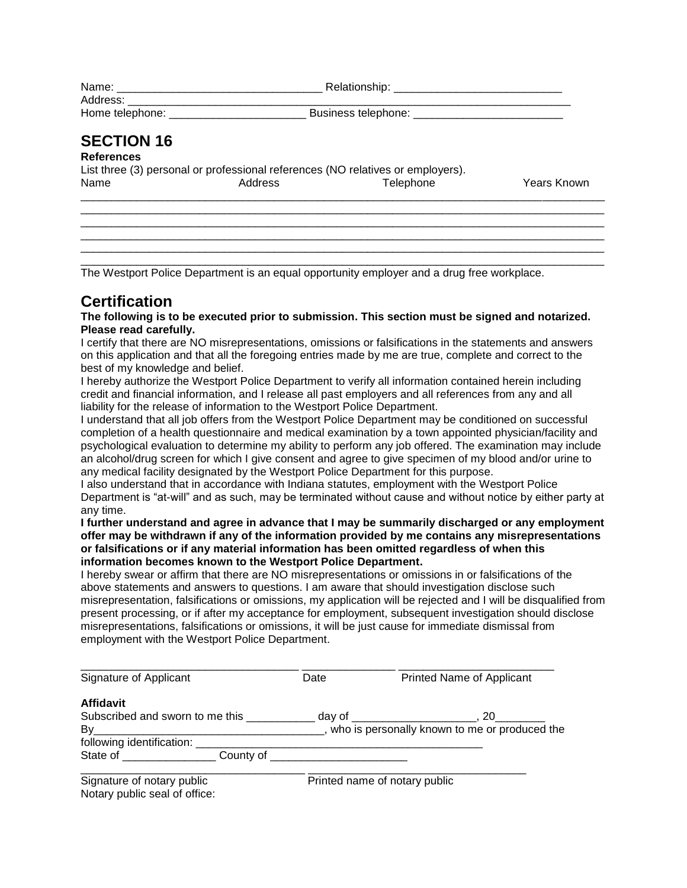| Name:           | Relationship:       |
|-----------------|---------------------|
| Address:        |                     |
| Home telephone: | Business telephone: |

### **References**

| List three (3) personal or professional references (NO relatives or employers). |         |           |             |  |
|---------------------------------------------------------------------------------|---------|-----------|-------------|--|
| Name                                                                            | Address | Telephone | Years Known |  |
|                                                                                 |         |           |             |  |

\_\_\_\_\_\_\_\_\_\_\_\_\_\_\_\_\_\_\_\_\_\_\_\_\_\_\_\_\_\_\_\_\_\_\_\_\_\_\_\_\_\_\_\_\_\_\_\_\_\_\_\_\_\_\_\_\_\_\_\_\_\_\_\_\_\_\_\_\_\_\_\_\_\_\_\_\_\_\_\_\_\_\_\_ \_\_\_\_\_\_\_\_\_\_\_\_\_\_\_\_\_\_\_\_\_\_\_\_\_\_\_\_\_\_\_\_\_\_\_\_\_\_\_\_\_\_\_\_\_\_\_\_\_\_\_\_\_\_\_\_\_\_\_\_\_\_\_\_\_\_\_\_\_\_\_\_\_\_\_\_\_\_\_\_\_\_\_\_ \_\_\_\_\_\_\_\_\_\_\_\_\_\_\_\_\_\_\_\_\_\_\_\_\_\_\_\_\_\_\_\_\_\_\_\_\_\_\_\_\_\_\_\_\_\_\_\_\_\_\_\_\_\_\_\_\_\_\_\_\_\_\_\_\_\_\_\_\_\_\_\_\_\_\_\_\_\_\_\_\_\_\_\_ \_\_\_\_\_\_\_\_\_\_\_\_\_\_\_\_\_\_\_\_\_\_\_\_\_\_\_\_\_\_\_\_\_\_\_\_\_\_\_\_\_\_\_\_\_\_\_\_\_\_\_\_\_\_\_\_\_\_\_\_\_\_\_\_\_\_\_\_\_\_\_\_\_\_\_\_\_\_\_\_\_\_\_\_

\_\_\_\_\_\_\_\_\_\_\_\_\_\_\_\_\_\_\_\_\_\_\_\_\_\_\_\_\_\_\_\_\_\_\_\_\_\_\_\_\_\_\_\_\_\_\_\_\_\_\_\_\_\_\_\_\_\_\_\_\_\_\_\_\_\_\_\_\_\_\_\_\_\_\_\_\_\_\_\_\_\_\_\_ The Westport Police Department is an equal opportunity employer and a drug free workplace.

# **Certification**

**The following is to be executed prior to submission. This section must be signed and notarized. Please read carefully.** 

I certify that there are NO misrepresentations, omissions or falsifications in the statements and answers on this application and that all the foregoing entries made by me are true, complete and correct to the best of my knowledge and belief.

I hereby authorize the Westport Police Department to verify all information contained herein including credit and financial information, and I release all past employers and all references from any and all liability for the release of information to the Westport Police Department.

I understand that all job offers from the Westport Police Department may be conditioned on successful completion of a health questionnaire and medical examination by a town appointed physician/facility and psychological evaluation to determine my ability to perform any job offered. The examination may include an alcohol/drug screen for which I give consent and agree to give specimen of my blood and/or urine to any medical facility designated by the Westport Police Department for this purpose.

I also understand that in accordance with Indiana statutes, employment with the Westport Police Department is "at-will" and as such, may be terminated without cause and without notice by either party at any time.

#### **I further understand and agree in advance that I may be summarily discharged or any employment offer may be withdrawn if any of the information provided by me contains any misrepresentations or falsifications or if any material information has been omitted regardless of when this information becomes known to the Westport Police Department.**

I hereby swear or affirm that there are NO misrepresentations or omissions in or falsifications of the above statements and answers to questions. I am aware that should investigation disclose such misrepresentation, falsifications or omissions, my application will be rejected and I will be disqualified from present processing, or if after my acceptance for employment, subsequent investigation should disclose misrepresentations, falsifications or omissions, it will be just cause for immediate dismissal from employment with the Westport Police Department.

| Signature of Applicant             | Date | Printed Name of Applicant                        |
|------------------------------------|------|--------------------------------------------------|
| <b>Affidavit</b>                   |      |                                                  |
| Subscribed and sworn to me this    |      | . day of ___________________________, 20_        |
| By                                 |      | _, who is personally known to me or produced the |
| following identification: ________ |      |                                                  |
|                                    |      |                                                  |

| Signature of notary public    |  |
|-------------------------------|--|
| Notary public seal of office: |  |

Printed name of notary public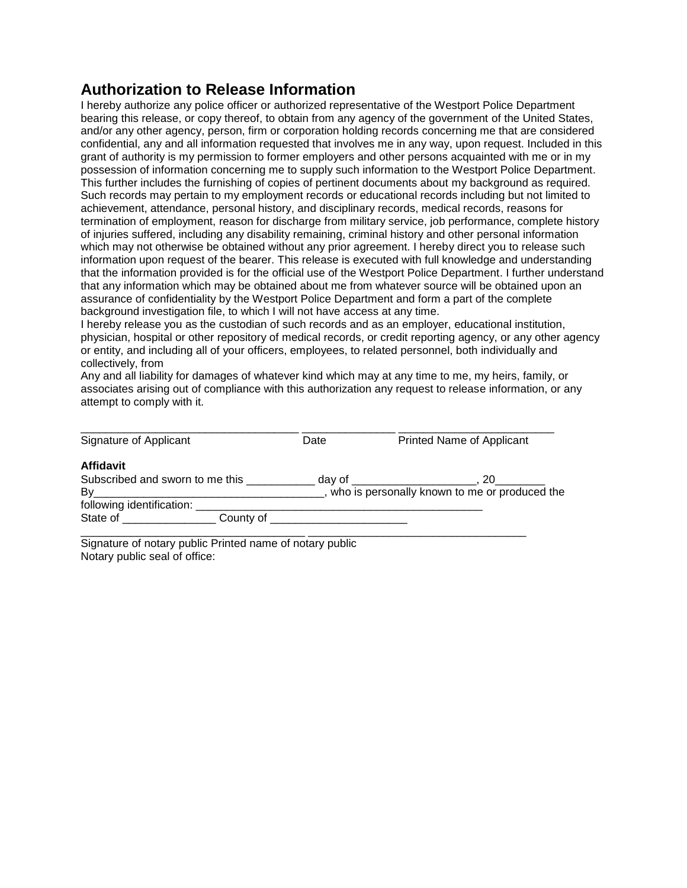# **Authorization to Release Information**

I hereby authorize any police officer or authorized representative of the Westport Police Department bearing this release, or copy thereof, to obtain from any agency of the government of the United States, and/or any other agency, person, firm or corporation holding records concerning me that are considered confidential, any and all information requested that involves me in any way, upon request. Included in this grant of authority is my permission to former employers and other persons acquainted with me or in my possession of information concerning me to supply such information to the Westport Police Department. This further includes the furnishing of copies of pertinent documents about my background as required. Such records may pertain to my employment records or educational records including but not limited to achievement, attendance, personal history, and disciplinary records, medical records, reasons for termination of employment, reason for discharge from military service, job performance, complete history of injuries suffered, including any disability remaining, criminal history and other personal information which may not otherwise be obtained without any prior agreement. I hereby direct you to release such information upon request of the bearer. This release is executed with full knowledge and understanding that the information provided is for the official use of the Westport Police Department. I further understand that any information which may be obtained about me from whatever source will be obtained upon an assurance of confidentiality by the Westport Police Department and form a part of the complete background investigation file, to which I will not have access at any time.

I hereby release you as the custodian of such records and as an employer, educational institution, physician, hospital or other repository of medical records, or credit reporting agency, or any other agency or entity, and including all of your officers, employees, to related personnel, both individually and collectively, from

Any and all liability for damages of whatever kind which may at any time to me, my heirs, family, or associates arising out of compliance with this authorization any request to release information, or any attempt to comply with it.

| Signature of Applicant                   | Date   | Printed Name of Applicant                                                                                                 |
|------------------------------------------|--------|---------------------------------------------------------------------------------------------------------------------------|
| <b>Affidavit</b>                         |        |                                                                                                                           |
| Subscribed and sworn to me this          | day of | 20<br><u> 1980 - John Harry Harry Harry Harry Harry Harry Harry Harry Harry Harry Harry Harry Harry Harry Harry Harry</u> |
| By                                       |        | _, who is personally known to me or produced the                                                                          |
| following identification:                |        |                                                                                                                           |
| State of <b>State State</b><br>County of |        |                                                                                                                           |

Signature of notary public Printed name of notary public Notary public seal of office: